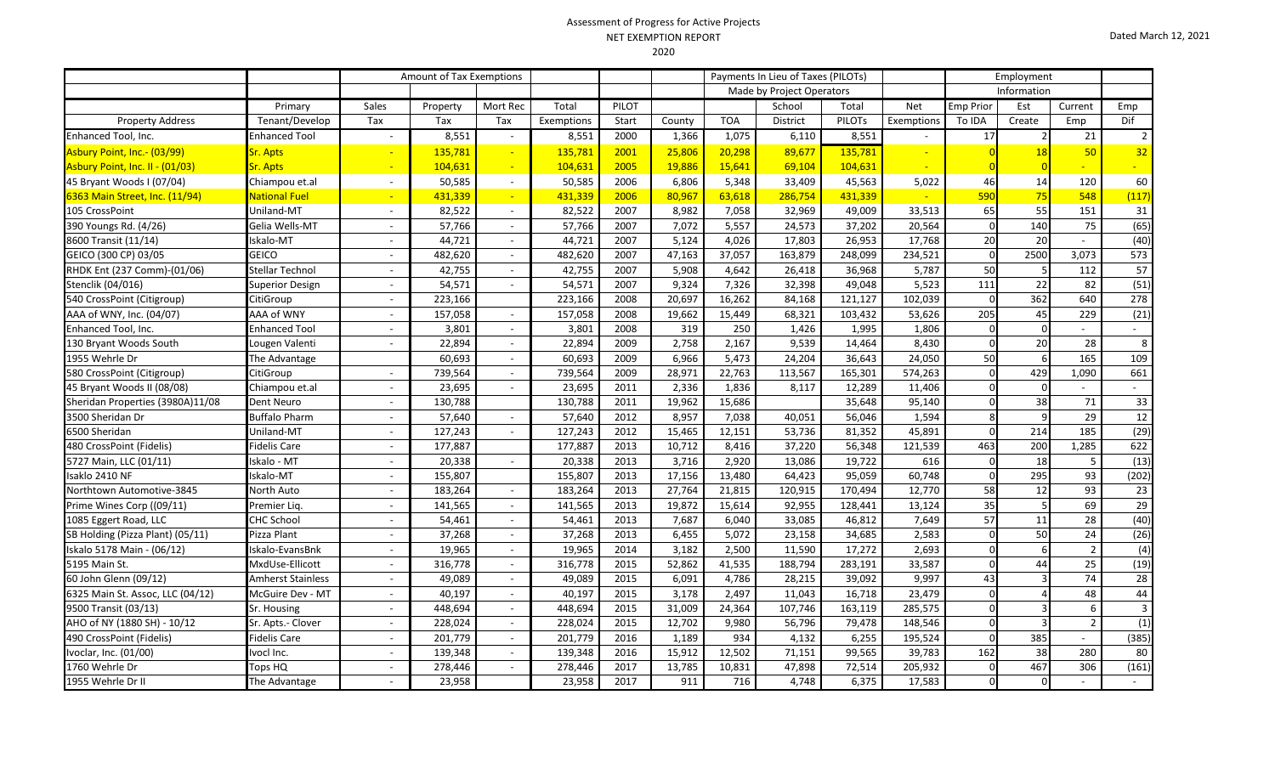## Assessment of Progress for Active Projects NET EXEMPTION REPORT

|                                    | <b>NET EXEMPTION REPORT</b> |                          |                          |                          |               |       |        |                           |                                    |               |            |                  |        |         | Dated March 12, 2021 |  |
|------------------------------------|-----------------------------|--------------------------|--------------------------|--------------------------|---------------|-------|--------|---------------------------|------------------------------------|---------------|------------|------------------|--------|---------|----------------------|--|
|                                    |                             |                          |                          |                          |               |       | 2020   |                           |                                    |               |            |                  |        |         |                      |  |
|                                    |                             |                          | Amount of Tax Exemptions |                          |               |       |        |                           | Payments In Lieu of Taxes (PILOTs) |               | Employment |                  |        |         |                      |  |
|                                    |                             |                          |                          |                          |               |       |        | Made by Project Operators |                                    |               |            | Information      |        |         |                      |  |
|                                    | Primary                     | Sales                    | Property                 | Mort Rec                 | Total         | PILOT |        |                           | School                             | Total         | <b>Net</b> | <b>Emp Prior</b> | Est    | Current | Emp                  |  |
| Property Address                   | Tenant/Develop              | Tax                      | Tax                      | Tax                      | Exemptions    | Start | County | <b>TOA</b>                | District                           | <b>PILOTS</b> | Exemptions | To IDA           | Create | Emp     | Dif                  |  |
| ool, Inc.                          | <b>Enhanced Tool</b>        |                          | 8,551                    | $\sim$                   | 8,551         | 2000  | 1,366  | 1,075                     | 6,110                              | 8,551         |            |                  |        | 21      |                      |  |
| <mark>nt, Inc.- (03/99)</mark>     | <b>Sr. Apts</b>             |                          | 135,781                  | $\overline{\phantom{0}}$ | 135,781       | 2001  | 25,806 | 20,298                    | 89,677                             | 135,781       |            |                  |        | 50      | 32                   |  |
| <mark>nt, Inc. II - (01/03)</mark> | <b>Sr. Apts</b>             |                          | 104,631                  | $\sim$                   | 104,631       | 2005  | 19,886 | 15,641                    | 69,104                             | 104,631       |            |                  |        |         |                      |  |
| Voods I (07/04)                    | Chiampou et.al              | $\overline{\phantom{a}}$ | 50,585                   | $\sim$                   | 50,585        | 2006  | 6,806  | 5,348                     | 33,409                             | 45,563        | 5,022      | 46               | 14     | 120     | 60                   |  |
| Street, Inc. (11/94)               | <b>National Fuel</b>        | -                        | 431,339                  | $\sim$                   | 431,339       | 2006  | 80,967 | 63,618                    | 286,754                            | 431,339       |            | 590              | 75     | 548     | (117)                |  |
| oint                               | Uniland-MT                  | $\overline{\phantom{a}}$ | 82,522                   | $\sim$                   | 82,522        | 2007  | 8,982  | 7,058                     | 32,969                             | 49,009        | 33,513     | 65               | 55     | 151     | 31                   |  |
| Rd. (4/26)                         | Gelia Wells-MT              | $\overline{\phantom{0}}$ | 57,766                   | $\overline{\phantom{a}}$ | 57,766        | 2007  | 7,072  | 5,557                     | 24,573                             | 37,202        | 20,564     |                  | 140    | 75      | (65)                 |  |
| it (11/14)                         | Iskalo-MT                   |                          | 44,721                   | $\sim$                   | 44,721        | 2007  | 5,124  | 4,026                     | 17,803                             | 26,953        | 17,768     |                  | 20     |         | (40)                 |  |
| CP) 03/05                          | <b>GEICO</b>                | $\overline{\phantom{0}}$ | 482,620                  | $\sim$                   | 482,620       | 2007  | 47,163 | 37,057                    | 163,879                            | 248,099       | 234,521    |                  | 2500   | 3,073   | 573                  |  |
| 237 Comm)-(01/06)                  | Stellar Technol             | ۰                        | 42,755                   | $\sim$                   | 42,755        | 2007  | 5,908  | 4,642                     | 26,418                             | 36,968        | 5,787      | 50               |        | 112     | 57                   |  |
| (016)                              | <b>Cunoriar Docian</b>      |                          | <b>EA E71</b>            |                          | <b>EA E71</b> | 2007  | 0.221  | 722C                      | סמכ רכ                             | 10.010        | E E 22     | 111              | ววไ    | $\circ$ | (E1)                 |  |

|                                  |                          |                          |         |                          |         |      | ,      |        |         |         |         |          |          |                |                |
|----------------------------------|--------------------------|--------------------------|---------|--------------------------|---------|------|--------|--------|---------|---------|---------|----------|----------|----------------|----------------|
| Enhanced Tool, Inc.              | <b>Enhanced Tool</b>     |                          | 8,551   |                          | 8,551   | 2000 | 1,366  | 1,075  | 6,110   | 8,551   |         | 17       |          | 21             | $\overline{2}$ |
| Asbury Point, Inc.- (03/99)      | <b>Sr. Apts</b>          |                          | 135,781 |                          | 135,781 | 2001 | 25,806 | 20,298 | 89,677  | 135,781 |         |          |          | 50             | 32             |
| Asbury Point, Inc. II - (01/03)  | <b>Sr. Apts</b>          |                          | 104,631 |                          | 104,631 | 2005 | 19,886 | 15,641 | 69,104  | 104,631 |         |          |          |                |                |
| 45 Bryant Woods I (07/04)        | Chiampou et.al           | $\overline{\phantom{a}}$ | 50,585  | $\overline{\phantom{a}}$ | 50,585  | 2006 | 6,806  | 5,348  | 33,409  | 45,563  | 5,022   | 46       | 14       | 120            | 60             |
| 6363 Main Street, Inc. (11/94)   | <b>National Fuel</b>     | $\blacksquare$           | 431,339 | $\sim$                   | 431,339 | 2006 | 80,967 | 63,618 | 286,754 | 431,339 |         | 590      |          | 548            | (117)          |
| 105 CrossPoint                   | Uniland-MT               | $\sim$                   | 82,522  | $\sim$                   | 82,522  | 2007 | 8,982  | 7,058  | 32,969  | 49,009  | 33,513  | 65       | 55       | 151            | 31             |
| 390 Youngs Rd. (4/26)            | Gelia Wells-MT           | $\sim$                   | 57,766  | $\sim$                   | 57,766  | 2007 | 7,072  | 5,557  | 24,573  | 37,202  | 20,564  | $\Omega$ | 140      | 75             | (65)           |
| 8600 Transit (11/14)             | Iskalo-MT                | $\sim$                   | 44,721  |                          | 44,721  | 2007 | 5,124  | 4,026  | 17,803  | 26,953  | 17,768  | 20       | 20       |                | (40)           |
| GEICO (300 CP) 03/05             | <b>GEICO</b>             | $\sim$                   | 482,620 | $\overline{\phantom{a}}$ | 482,620 | 2007 | 47,163 | 37,057 | 163,879 | 248,099 | 234,521 | $\Omega$ | 2500     | 3,073          | 573            |
| RHDK Ent (237 Comm)-(01/06)      | Stellar Technol          | $\sim$                   | 42,755  |                          | 42,755  | 2007 | 5,908  | 4,642  | 26,418  | 36,968  | 5,787   | 50       |          | 112            | 57             |
| Stenclik (04/016)                | Superior Design          | $\sim$                   | 54,571  |                          | 54,571  | 2007 | 9,324  | 7,326  | 32,398  | 49,048  | 5,523   | 111      | 22       | 82             | (51)           |
| 540 CrossPoint (Citigroup)       | CitiGroup                | $\sim$                   | 223,166 |                          | 223,166 | 2008 | 20,697 | 16,262 | 84,168  | 121,127 | 102,039 |          | 362      | 640            | 278            |
| AAA of WNY, Inc. (04/07)         | AAA of WNY               | $\sim$                   | 157,058 |                          | 157,058 | 2008 | 19,662 | 15,449 | 68,321  | 103,432 | 53,626  | 205      | 45       | 229            | (21)           |
| Enhanced Tool, Inc.              | <b>Enhanced Tool</b>     | $\sim$                   | 3,801   |                          | 3,801   | 2008 | 319    | 250    | 1,426   | 1,995   | 1,806   |          |          |                |                |
| 130 Bryant Woods South           | Lougen Valenti           |                          | 22,894  |                          | 22,894  | 2009 | 2,758  | 2,167  | 9,539   | 14,464  | 8,430   |          | 20       | 28             | 8              |
| 1955 Wehrle Dr                   | The Advantage            |                          | 60,693  |                          | 60,693  | 2009 | 6,966  | 5,473  | 24,204  | 36,643  | 24,050  | 50       |          | 165            | 109            |
| 580 CrossPoint (Citigroup)       | CitiGroup                | $\overline{\phantom{a}}$ | 739,564 | $\sim$                   | 739,564 | 2009 | 28,971 | 22,763 | 113,567 | 165,301 | 574,263 |          | 429      | 1,090          | 661            |
| 45 Bryant Woods II (08/08)       | Chiampou et.al           | $\sim$                   | 23,695  |                          | 23,695  | 2011 | 2,336  | 1,836  | 8,117   | 12,289  | 11,406  |          |          |                |                |
| Sheridan Properties (3980A)11/08 | Dent Neuro               | $\sim$                   | 130,788 |                          | 130,788 | 2011 | 19,962 | 15,686 |         | 35,648  | 95,140  |          | 38       | 71             | 33             |
| 3500 Sheridan Dr                 | <b>Buffalo Pharm</b>     | $\overline{\phantom{a}}$ | 57,640  |                          | 57,640  | 2012 | 8,957  | 7,038  | 40,051  | 56,046  | 1,594   | 8        |          | 29             | 12             |
| 6500 Sheridan                    | Uniland-MT               | $\sim$                   | 127,243 | $\sim$                   | 127,243 | 2012 | 15,465 | 12,151 | 53,736  | 81,352  | 45,891  |          | 214      | 185            | (29)           |
| 480 CrossPoint (Fidelis)         | Fidelis Care             | $\sim$                   | 177,887 |                          | 177,887 | 2013 | 10,712 | 8,416  | 37,220  | 56,348  | 121,539 | 463      | 200      | 1,285          | 622            |
| 5727 Main, LLC (01/11)           | Iskalo - MT              | $\sim$                   | 20,338  |                          | 20,338  | 2013 | 3,716  | 2,920  | 13,086  | 19,722  | 616     | $\Omega$ | 18       | 5              | (13)           |
| Isaklo 2410 NF                   | Iskalo-MT                | $\sim$                   | 155,807 |                          | 155,807 | 2013 | 17,156 | 13,480 | 64,423  | 95,059  | 60,748  | $\Omega$ | 295      | 93             | (202)          |
| Northtown Automotive-3845        | North Auto               | $\sim$                   | 183,264 |                          | 183,264 | 2013 | 27,764 | 21,815 | 120,915 | 170,494 | 12,770  | 58       | 12       | 93             | 23             |
| Prime Wines Corp ((09/11)        | Premier Lig.             | $\sim$                   | 141,565 |                          | 141,565 | 2013 | 19,872 | 15,614 | 92,955  | 128,441 | 13,124  | 35       |          | 69             | 29             |
| 1085 Eggert Road, LLC            | <b>CHC School</b>        | $\sim$                   | 54,461  | $\sim$                   | 54,461  | 2013 | 7,687  | 6,040  | 33,085  | 46,812  | 7,649   | 57       | 11       | 28             | (40)           |
| SB Holding (Pizza Plant) (05/11) | Pizza Plant              |                          | 37,268  |                          | 37,268  | 2013 | 6,455  | 5,072  | 23,158  | 34,685  | 2,583   |          | 50       | 24             | (26)           |
| Iskalo 5178 Main - (06/12)       | Iskalo-EvansBnk          | $\sim$                   | 19,965  |                          | 19,965  | 2014 | 3,182  | 2,500  | 11,590  | 17,272  | 2,693   |          |          | $\overline{2}$ | (4)            |
| 5195 Main St.                    | MxdUse-Ellicott          | $\sim$                   | 316,778 |                          | 316,778 | 2015 | 52,862 | 41,535 | 188,794 | 283,191 | 33,587  |          | 44       | 25             | (19)           |
| 60 John Glenn (09/12)            | <b>Amherst Stainless</b> | $\sim$                   | 49,089  |                          | 49,089  | 2015 | 6,091  | 4,786  | 28,215  | 39,092  | 9,997   | 43       |          | 74             | 28             |
| 6325 Main St. Assoc, LLC (04/12) | McGuire Dev - MT         | $\sim$                   | 40,197  |                          | 40,197  | 2015 | 3,178  | 2,497  | 11,043  | 16,718  | 23,479  |          |          | 48             | 44             |
| 9500 Transit (03/13)             | Sr. Housing              | $\sim$                   | 448,694 |                          | 448,694 | 2015 | 31,009 | 24,364 | 107,746 | 163,119 | 285,575 |          |          | 6              | 3              |
| AHO of NY (1880 SH) - 10/12      | Sr. Apts.- Clover        | $\sim$                   | 228,024 | $\sim$                   | 228,024 | 2015 | 12,702 | 9,980  | 56,796  | 79,478  | 148,546 |          |          | $\overline{2}$ | (1)            |
| 490 CrossPoint (Fidelis)         | <b>Fidelis Care</b>      | $\sim$                   | 201,779 | $\sim$                   | 201,779 | 2016 | 1,189  | 934    | 4,132   | 6,255   | 195,524 |          | 385      |                | (385)          |
| Ivoclar, Inc. (01/00)            | lvocl Inc.               | $\overline{\phantom{a}}$ | 139,348 | $\overline{\phantom{a}}$ | 139,348 | 2016 | 15,912 | 12,502 | 71,151  | 99,565  | 39,783  | 162      | 38       | 280            | 80             |
| 1760 Wehrle Dr                   | Tops HQ                  | $\sim$                   | 278,446 |                          | 278,446 | 2017 | 13,785 | 10,831 | 47,898  | 72,514  | 205,932 | 0        | 467      | 306            | (161)          |
| 1955 Wehrle Dr II                | The Advantage            |                          | 23,958  |                          | 23,958  | 2017 | 911    | 716    | 4,748   | 6,375   | 17,583  |          | $\Omega$ |                |                |
|                                  |                          |                          |         |                          |         |      |        |        |         |         |         |          |          |                |                |